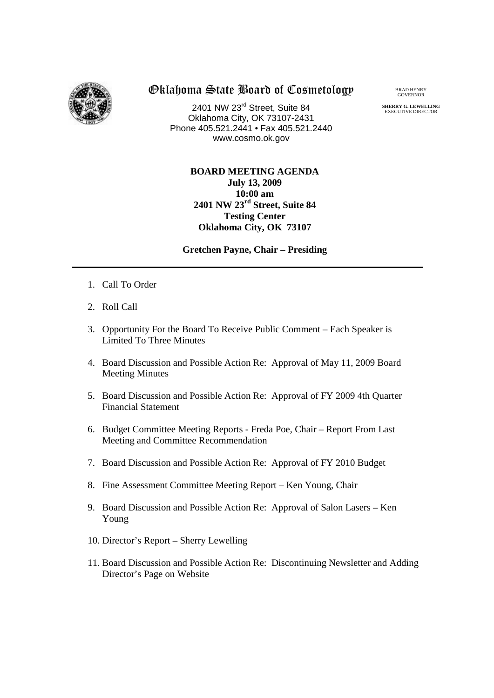

## Oklahoma State Board of Cosmetology

2401 NW 23rd Street, Suite 84 Oklahoma City, OK 73107-2431 Phone 405.521.2441 • Fax 405.521.2440 www.cosmo.ok.gov

BRAD HENRY GOVERNOR

**SHERRY G. LEWELLING** EXECUTIVE DIRECTO

## **BOARD MEETING AGENDA July 13, 2009 10:00 am 2401 NW 23rd Street, Suite 84 Testing Center Oklahoma City, OK 73107**

**Gretchen Payne, Chair – Presiding**

- 1. Call To Order
- 2. Roll Call
- 3. Opportunity For the Board To Receive Public Comment Each Speaker is Limited To Three Minutes
- 4. Board Discussion and Possible Action Re: Approval of May 11, 2009 Board Meeting Minutes
- 5. Board Discussion and Possible Action Re: Approval of FY 2009 4th Quarter Financial Statement
- 6. Budget Committee Meeting Reports Freda Poe, Chair Report From Last Meeting and Committee Recommendation
- 7. Board Discussion and Possible Action Re: Approval of FY 2010 Budget
- 8. Fine Assessment Committee Meeting Report Ken Young, Chair
- 9. Board Discussion and Possible Action Re: Approval of Salon Lasers Ken Young
- 10. Director's Report Sherry Lewelling
- 11. Board Discussion and Possible Action Re: Discontinuing Newsletter and Adding Director's Page on Website